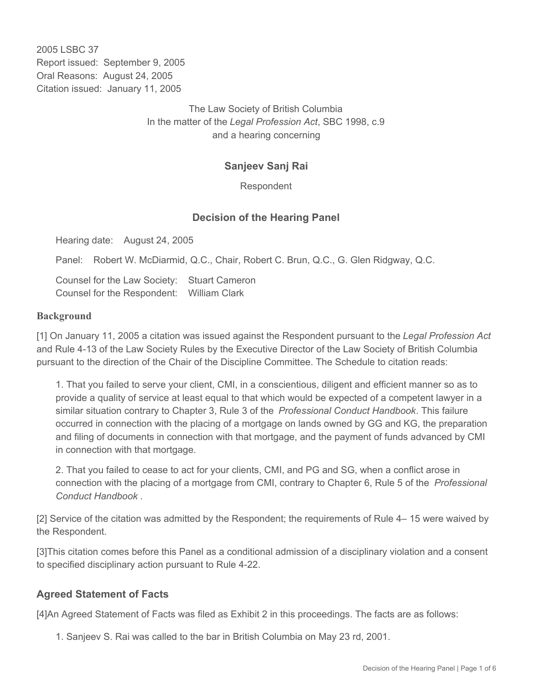2005 LSBC 37 Report issued: September 9, 2005 Oral Reasons: August 24, 2005 Citation issued: January 11, 2005

> The Law Society of British Columbia In the matter of the *Legal Profession Act*, SBC 1998, c.9 and a hearing concerning

## **Sanjeev Sanj Rai**

Respondent

## **Decision of the Hearing Panel**

Hearing date: August 24, 2005

Panel: Robert W. McDiarmid, Q.C., Chair, Robert C. Brun, Q.C., G. Glen Ridgway, Q.C.

Counsel for the Law Society: Stuart Cameron Counsel for the Respondent: William Clark

#### **Background**

[1] On January 11, 2005 a citation was issued against the Respondent pursuant to the *Legal Profession Act* and Rule 4-13 of the Law Society Rules by the Executive Director of the Law Society of British Columbia pursuant to the direction of the Chair of the Discipline Committee. The Schedule to citation reads:

1. That you failed to serve your client, CMI, in a conscientious, diligent and efficient manner so as to provide a quality of service at least equal to that which would be expected of a competent lawyer in a similar situation contrary to Chapter 3, Rule 3 of the *Professional Conduct Handbook*. This failure occurred in connection with the placing of a mortgage on lands owned by GG and KG, the preparation and filing of documents in connection with that mortgage, and the payment of funds advanced by CMI in connection with that mortgage.

2. That you failed to cease to act for your clients, CMI, and PG and SG, when a conflict arose in connection with the placing of a mortgage from CMI, contrary to Chapter 6, Rule 5 of the *Professional Conduct Handbook* .

[2] Service of the citation was admitted by the Respondent; the requirements of Rule 4– 15 were waived by the Respondent.

[3]This citation comes before this Panel as a conditional admission of a disciplinary violation and a consent to specified disciplinary action pursuant to Rule 4-22.

### **Agreed Statement of Facts**

[4]An Agreed Statement of Facts was filed as Exhibit 2 in this proceedings. The facts are as follows:

1. Sanjeev S. Rai was called to the bar in British Columbia on May 23 rd, 2001.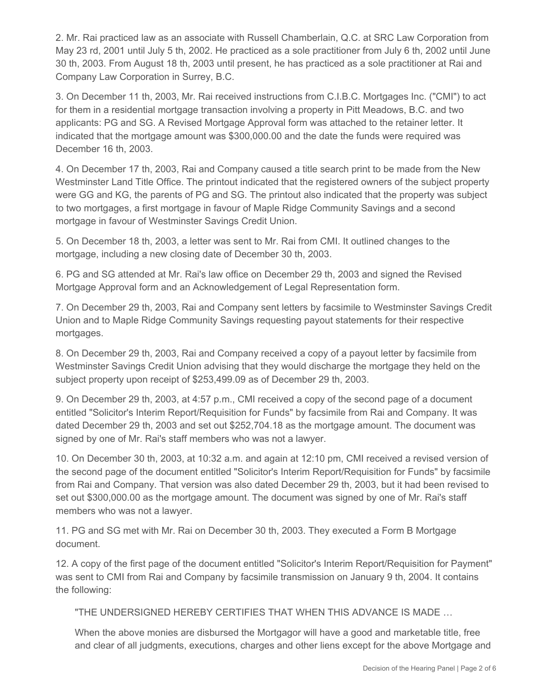2. Mr. Rai practiced law as an associate with Russell Chamberlain, Q.C. at SRC Law Corporation from May 23 rd, 2001 until July 5 th, 2002. He practiced as a sole practitioner from July 6 th, 2002 until June 30 th, 2003. From August 18 th, 2003 until present, he has practiced as a sole practitioner at Rai and Company Law Corporation in Surrey, B.C.

3. On December 11 th, 2003, Mr. Rai received instructions from C.I.B.C. Mortgages Inc. ("CMI") to act for them in a residential mortgage transaction involving a property in Pitt Meadows, B.C. and two applicants: PG and SG. A Revised Mortgage Approval form was attached to the retainer letter. It indicated that the mortgage amount was \$300,000.00 and the date the funds were required was December 16 th, 2003.

4. On December 17 th, 2003, Rai and Company caused a title search print to be made from the New Westminster Land Title Office. The printout indicated that the registered owners of the subject property were GG and KG, the parents of PG and SG. The printout also indicated that the property was subject to two mortgages, a first mortgage in favour of Maple Ridge Community Savings and a second mortgage in favour of Westminster Savings Credit Union.

5. On December 18 th, 2003, a letter was sent to Mr. Rai from CMI. It outlined changes to the mortgage, including a new closing date of December 30 th, 2003.

6. PG and SG attended at Mr. Rai's law office on December 29 th, 2003 and signed the Revised Mortgage Approval form and an Acknowledgement of Legal Representation form.

7. On December 29 th, 2003, Rai and Company sent letters by facsimile to Westminster Savings Credit Union and to Maple Ridge Community Savings requesting payout statements for their respective mortgages.

8. On December 29 th, 2003, Rai and Company received a copy of a payout letter by facsimile from Westminster Savings Credit Union advising that they would discharge the mortgage they held on the subject property upon receipt of \$253,499.09 as of December 29 th, 2003.

9. On December 29 th, 2003, at 4:57 p.m., CMI received a copy of the second page of a document entitled "Solicitor's Interim Report/Requisition for Funds" by facsimile from Rai and Company. It was dated December 29 th, 2003 and set out \$252,704.18 as the mortgage amount. The document was signed by one of Mr. Rai's staff members who was not a lawyer.

10. On December 30 th, 2003, at 10:32 a.m. and again at 12:10 pm, CMI received a revised version of the second page of the document entitled "Solicitor's Interim Report/Requisition for Funds" by facsimile from Rai and Company. That version was also dated December 29 th, 2003, but it had been revised to set out \$300,000.00 as the mortgage amount. The document was signed by one of Mr. Rai's staff members who was not a lawyer.

11. PG and SG met with Mr. Rai on December 30 th, 2003. They executed a Form B Mortgage document.

12. A copy of the first page of the document entitled "Solicitor's Interim Report/Requisition for Payment" was sent to CMI from Rai and Company by facsimile transmission on January 9 th, 2004. It contains the following:

"THE UNDERSIGNED HEREBY CERTIFIES THAT WHEN THIS ADVANCE IS MADE …

When the above monies are disbursed the Mortgagor will have a good and marketable title, free and clear of all judgments, executions, charges and other liens except for the above Mortgage and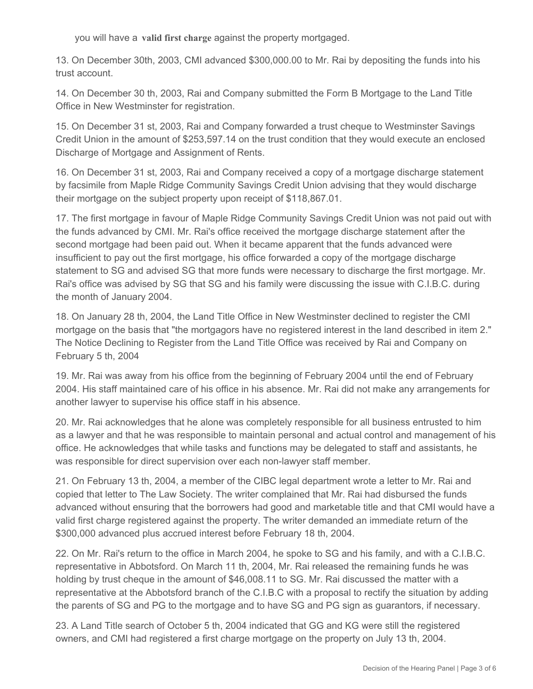you will have a **valid first charge** against the property mortgaged.

13. On December 30th, 2003, CMI advanced \$300,000.00 to Mr. Rai by depositing the funds into his trust account.

14. On December 30 th, 2003, Rai and Company submitted the Form B Mortgage to the Land Title Office in New Westminster for registration.

15. On December 31 st, 2003, Rai and Company forwarded a trust cheque to Westminster Savings Credit Union in the amount of \$253,597.14 on the trust condition that they would execute an enclosed Discharge of Mortgage and Assignment of Rents.

16. On December 31 st, 2003, Rai and Company received a copy of a mortgage discharge statement by facsimile from Maple Ridge Community Savings Credit Union advising that they would discharge their mortgage on the subject property upon receipt of \$118,867.01.

17. The first mortgage in favour of Maple Ridge Community Savings Credit Union was not paid out with the funds advanced by CMI. Mr. Rai's office received the mortgage discharge statement after the second mortgage had been paid out. When it became apparent that the funds advanced were insufficient to pay out the first mortgage, his office forwarded a copy of the mortgage discharge statement to SG and advised SG that more funds were necessary to discharge the first mortgage. Mr. Rai's office was advised by SG that SG and his family were discussing the issue with C.I.B.C. during the month of January 2004.

18. On January 28 th, 2004, the Land Title Office in New Westminster declined to register the CMI mortgage on the basis that "the mortgagors have no registered interest in the land described in item 2." The Notice Declining to Register from the Land Title Office was received by Rai and Company on February 5 th, 2004

19. Mr. Rai was away from his office from the beginning of February 2004 until the end of February 2004. His staff maintained care of his office in his absence. Mr. Rai did not make any arrangements for another lawyer to supervise his office staff in his absence.

20. Mr. Rai acknowledges that he alone was completely responsible for all business entrusted to him as a lawyer and that he was responsible to maintain personal and actual control and management of his office. He acknowledges that while tasks and functions may be delegated to staff and assistants, he was responsible for direct supervision over each non-lawyer staff member.

21. On February 13 th, 2004, a member of the CIBC legal department wrote a letter to Mr. Rai and copied that letter to The Law Society. The writer complained that Mr. Rai had disbursed the funds advanced without ensuring that the borrowers had good and marketable title and that CMI would have a valid first charge registered against the property. The writer demanded an immediate return of the \$300,000 advanced plus accrued interest before February 18 th, 2004.

22. On Mr. Rai's return to the office in March 2004, he spoke to SG and his family, and with a C.I.B.C. representative in Abbotsford. On March 11 th, 2004, Mr. Rai released the remaining funds he was holding by trust cheque in the amount of \$46,008.11 to SG. Mr. Rai discussed the matter with a representative at the Abbotsford branch of the C.I.B.C with a proposal to rectify the situation by adding the parents of SG and PG to the mortgage and to have SG and PG sign as guarantors, if necessary.

23. A Land Title search of October 5 th, 2004 indicated that GG and KG were still the registered owners, and CMI had registered a first charge mortgage on the property on July 13 th, 2004.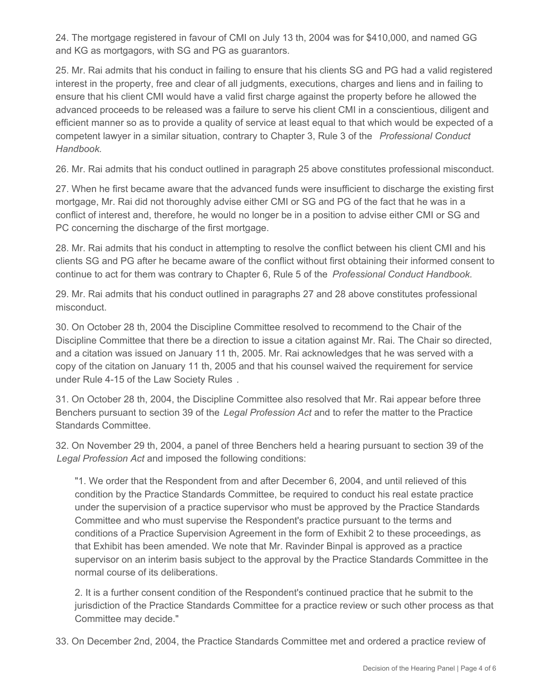24. The mortgage registered in favour of CMI on July 13 th, 2004 was for \$410,000, and named GG and KG as mortgagors, with SG and PG as guarantors.

25. Mr. Rai admits that his conduct in failing to ensure that his clients SG and PG had a valid registered interest in the property, free and clear of all judgments, executions, charges and liens and in failing to ensure that his client CMI would have a valid first charge against the property before he allowed the advanced proceeds to be released was a failure to serve his client CMI in a conscientious, diligent and efficient manner so as to provide a quality of service at least equal to that which would be expected of a competent lawyer in a similar situation, contrary to Chapter 3, Rule 3 of the *Professional Conduct Handbook.*

26. Mr. Rai admits that his conduct outlined in paragraph 25 above constitutes professional misconduct.

27. When he first became aware that the advanced funds were insufficient to discharge the existing first mortgage, Mr. Rai did not thoroughly advise either CMI or SG and PG of the fact that he was in a conflict of interest and, therefore, he would no longer be in a position to advise either CMI or SG and PC concerning the discharge of the first mortgage.

28. Mr. Rai admits that his conduct in attempting to resolve the conflict between his client CMI and his clients SG and PG after he became aware of the conflict without first obtaining their informed consent to continue to act for them was contrary to Chapter 6, Rule 5 of the *Professional Conduct Handbook.*

29. Mr. Rai admits that his conduct outlined in paragraphs 27 and 28 above constitutes professional misconduct.

30. On October 28 th, 2004 the Discipline Committee resolved to recommend to the Chair of the Discipline Committee that there be a direction to issue a citation against Mr. Rai. The Chair so directed, and a citation was issued on January 11 th, 2005. Mr. Rai acknowledges that he was served with a copy of the citation on January 11 th, 2005 and that his counsel waived the requirement for service under Rule 4-15 of the Law Society Rules *.*

31. On October 28 th, 2004, the Discipline Committee also resolved that Mr. Rai appear before three Benchers pursuant to section 39 of the *Legal Profession Act* and to refer the matter to the Practice Standards Committee.

32. On November 29 th, 2004, a panel of three Benchers held a hearing pursuant to section 39 of the *Legal Profession Act* and imposed the following conditions:

"1. We order that the Respondent from and after December 6, 2004, and until relieved of this condition by the Practice Standards Committee, be required to conduct his real estate practice under the supervision of a practice supervisor who must be approved by the Practice Standards Committee and who must supervise the Respondent's practice pursuant to the terms and conditions of a Practice Supervision Agreement in the form of Exhibit 2 to these proceedings, as that Exhibit has been amended. We note that Mr. Ravinder Binpal is approved as a practice supervisor on an interim basis subject to the approval by the Practice Standards Committee in the normal course of its deliberations.

2. It is a further consent condition of the Respondent's continued practice that he submit to the jurisdiction of the Practice Standards Committee for a practice review or such other process as that Committee may decide."

33. On December 2nd, 2004, the Practice Standards Committee met and ordered a practice review of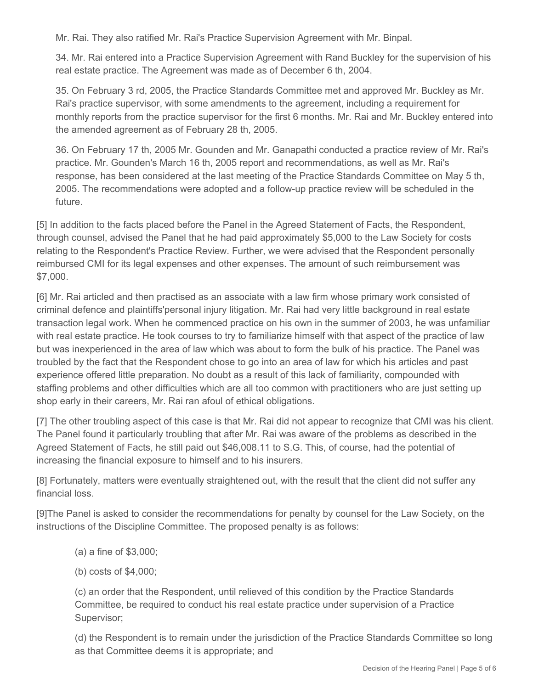Mr. Rai. They also ratified Mr. Rai's Practice Supervision Agreement with Mr. Binpal.

34. Mr. Rai entered into a Practice Supervision Agreement with Rand Buckley for the supervision of his real estate practice. The Agreement was made as of December 6 th, 2004.

35. On February 3 rd, 2005, the Practice Standards Committee met and approved Mr. Buckley as Mr. Rai's practice supervisor, with some amendments to the agreement, including a requirement for monthly reports from the practice supervisor for the first 6 months. Mr. Rai and Mr. Buckley entered into the amended agreement as of February 28 th, 2005.

36. On February 17 th, 2005 Mr. Gounden and Mr. Ganapathi conducted a practice review of Mr. Rai's practice. Mr. Gounden's March 16 th, 2005 report and recommendations, as well as Mr. Rai's response, has been considered at the last meeting of the Practice Standards Committee on May 5 th, 2005. The recommendations were adopted and a follow-up practice review will be scheduled in the future.

[5] In addition to the facts placed before the Panel in the Agreed Statement of Facts, the Respondent, through counsel, advised the Panel that he had paid approximately \$5,000 to the Law Society for costs relating to the Respondent's Practice Review. Further, we were advised that the Respondent personally reimbursed CMI for its legal expenses and other expenses. The amount of such reimbursement was \$7,000.

[6] Mr. Rai articled and then practised as an associate with a law firm whose primary work consisted of criminal defence and plaintiffs'personal injury litigation. Mr. Rai had very little background in real estate transaction legal work. When he commenced practice on his own in the summer of 2003, he was unfamiliar with real estate practice. He took courses to try to familiarize himself with that aspect of the practice of law but was inexperienced in the area of law which was about to form the bulk of his practice. The Panel was troubled by the fact that the Respondent chose to go into an area of law for which his articles and past experience offered little preparation. No doubt as a result of this lack of familiarity, compounded with staffing problems and other difficulties which are all too common with practitioners who are just setting up shop early in their careers, Mr. Rai ran afoul of ethical obligations.

[7] The other troubling aspect of this case is that Mr. Rai did not appear to recognize that CMI was his client. The Panel found it particularly troubling that after Mr. Rai was aware of the problems as described in the Agreed Statement of Facts, he still paid out \$46,008.11 to S.G. This, of course, had the potential of increasing the financial exposure to himself and to his insurers.

[8] Fortunately, matters were eventually straightened out, with the result that the client did not suffer any financial loss.

[9]The Panel is asked to consider the recommendations for penalty by counsel for the Law Society, on the instructions of the Discipline Committee. The proposed penalty is as follows:

- (a) a fine of \$3,000;
- (b) costs of \$4,000;

(c) an order that the Respondent, until relieved of this condition by the Practice Standards Committee, be required to conduct his real estate practice under supervision of a Practice Supervisor;

(d) the Respondent is to remain under the jurisdiction of the Practice Standards Committee so long as that Committee deems it is appropriate; and